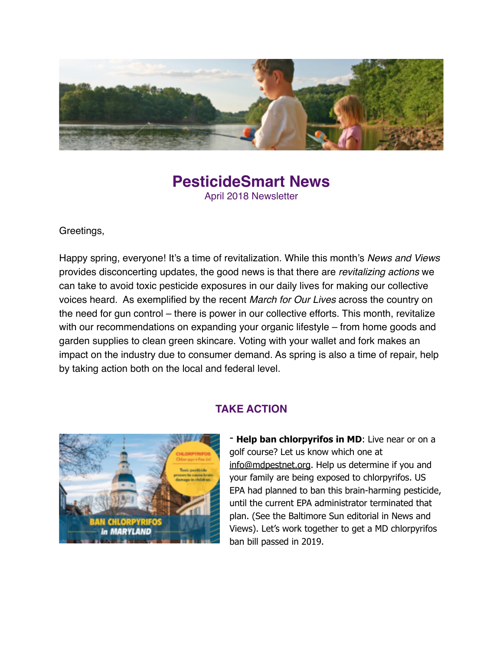

## **PesticideSmart News** April 2018 Newsletter

Greetings,

Happy spring, everyone! It's a time of revitalization. While this month's *News and Views* provides disconcerting updates, the good news is that there are *revitalizing actions* we can take to avoid toxic pesticide exposures in our daily lives for making our collective voices heard. As exemplified by the recent *March for Our Lives* across the country on the need for gun control – there is power in our collective efforts. This month, revitalize with our recommendations on expanding your organic lifestyle – from home goods and garden supplies to clean green skincare. Voting with your wallet and fork makes an impact on the industry due to consumer demand. As spring is also a time of repair, help by taking action both on the local and federal level.



#### **TAKE ACTION**

- **Help ban chlorpyrifos in MD**: Live near or on a golf course? Let us know which one at [info@mdpestnet.org](mailto:info@mdpestnet.org). Help us determine if you and your family are being exposed to chlorpyrifos. US EPA had planned to ban this brain-harming pesticide, until the current EPA administrator terminated that plan. (See the Baltimore Sun editorial in News and Views). Let's work together to get a MD chlorpyrifos ban bill passed in 2019.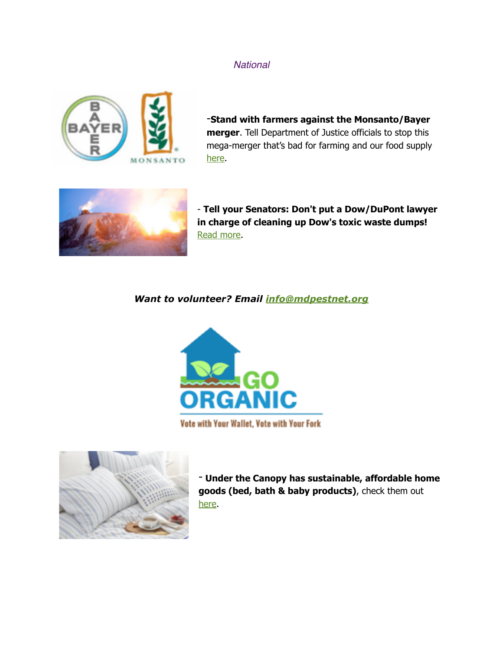#### *National*



-**Stand with farmers against the Monsanto/Bayer merger**. Tell Department of Justice officials to stop this mega-merger that's bad for farming and our food supply [here](https://mdpestnet.us12.list-manage.com/track/click?u=dcf08b5ef315f2faae2ed89b7&id=6ad87d193c&e=f5232c3d36).



- **Tell your Senators: Don't put a Dow/DuPont lawyer in charge of cleaning up Dow's toxic waste dumps!** [Read more.](https://mdpestnet.us12.list-manage.com/track/click?u=dcf08b5ef315f2faae2ed89b7&id=730d6dbeed&e=f5232c3d36)

#### *Want to volunteer? Email [info@mdpestnet.org](mailto:info@mdpestnet.org)*



Vote with Your Wallet, Vote with Your Fork



- **Under the Canopy has sustainable, affordable home goods (bed, bath & baby products)**, check them out [here.](https://mdpestnet.us12.list-manage.com/track/click?u=dcf08b5ef315f2faae2ed89b7&id=5b13cb70e2&e=f5232c3d36)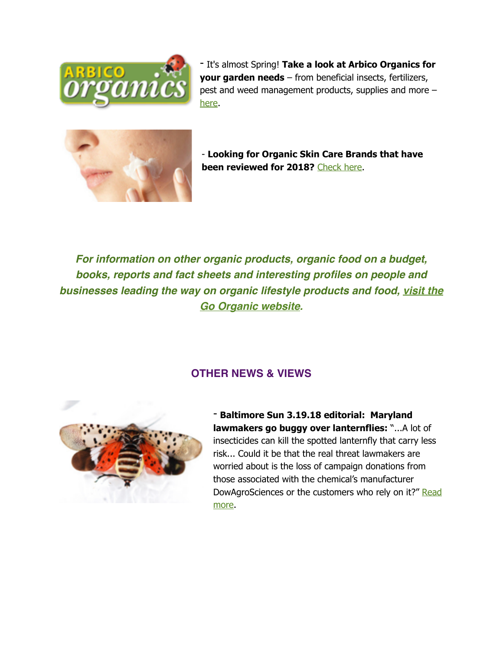

- It's almost Spring! **Take a look at Arbico Organics for your garden needs** – from beneficial insects, fertilizers, pest and weed management products, supplies and more – [here](https://mdpestnet.us12.list-manage.com/track/click?u=dcf08b5ef315f2faae2ed89b7&id=621096766a&e=f5232c3d36).



- **Looking for Organic Skin Care Brands that have been reviewed for 2018?** [Check here.](https://mdpestnet.us12.list-manage.com/track/click?u=dcf08b5ef315f2faae2ed89b7&id=372f4ba86a&e=f5232c3d36)

*For information on other organic products, organic food on a budget, books, reports and fact sheets and interesting profiles on people and businesses leading the wa[y on organic lifestyle products and food,](https://mdpestnet.us12.list-manage.com/track/click?u=dcf08b5ef315f2faae2ed89b7&id=3cf6fa46ed&e=f5232c3d36) visit the Go Organic website.*

### **OTHER NEWS & VIEWS**



- **Baltimore Sun 3.19.18 editorial: Maryland lawmakers go buggy over lanternflies:** "...A lot of insecticides can kill the spotted lanternfly that carry less risk... Could it be that the real threat lawmakers are worried about is the loss of campaign donations from those associated with the chemical's manufacturer [DowAgroSciences or the customers who rely on it?" Read](https://mdpestnet.us12.list-manage.com/track/click?u=dcf08b5ef315f2faae2ed89b7&id=cec338db10&e=f5232c3d36)  more.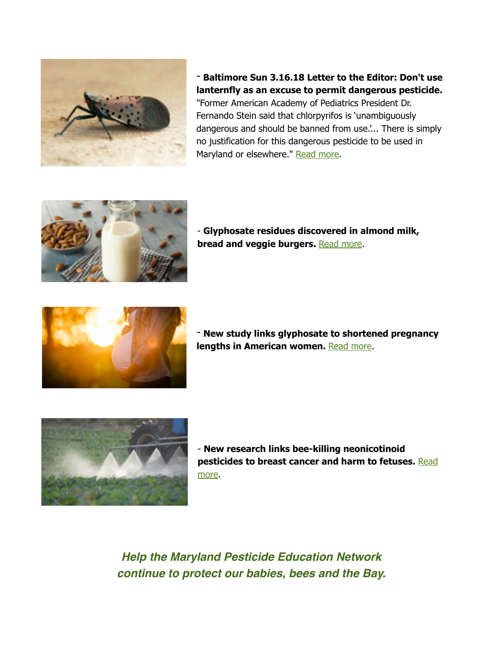

- **Baltimore Sun 3.16.18 Letter to the Editor: Don't use lanternfly as an excuse to permit dangerous pesticide.**  "Former American Academy of Pediatrics President Dr. Fernando Stein said that chlorpyrifos is 'unambiguously dangerous and should be banned from use.'... There is simply no justification for this dangerous pesticide to be used in Maryland or elsewhere." [Read more.](https://mdpestnet.us12.list-manage.com/track/click?u=dcf08b5ef315f2faae2ed89b7&id=d0495cad76&e=f5232c3d36)



- **Glyphosate residues discovered in almond milk, bread and veggie burgers. [Read more.](https://mdpestnet.us12.list-manage.com/track/click?u=dcf08b5ef315f2faae2ed89b7&id=a22d68fccd&e=f5232c3d36)** 



- **New study links glyphosate to shortened pregnancy**  lengths in American women. **[Read more](https://mdpestnet.us12.list-manage.com/track/click?u=dcf08b5ef315f2faae2ed89b7&id=ff694fd1ce&e=f5232c3d36).** 



- **New research links bee-killing neonicotinoid [pesticides to breast cancer and harm to fetuses.](https://mdpestnet.us12.list-manage.com/track/click?u=dcf08b5ef315f2faae2ed89b7&id=628d253e78&e=f5232c3d36)** Read more.

*Help the Maryland Pesticide Education Network continue to protect our babies, bees and the Bay.*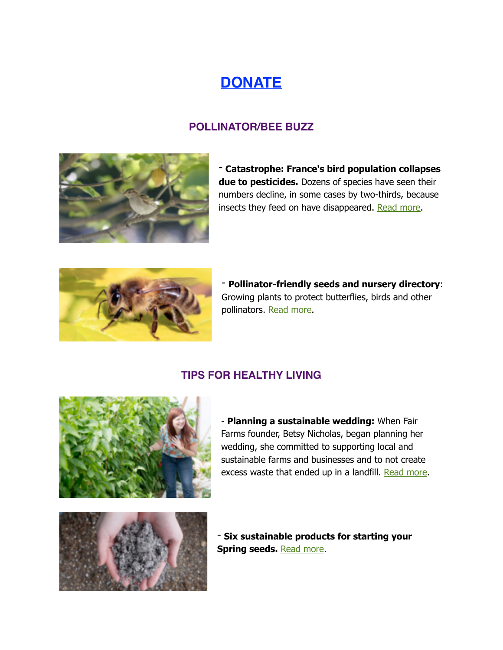# **[DONATE](https://mdpestnet.us12.list-manage.com/track/click?u=dcf08b5ef315f2faae2ed89b7&id=b655b03407&e=f5232c3d36)**

## **POLLINATOR/BEE BUZZ**



- **Catastrophe: France's bird population collapses due to pesticides.** Dozens of species have seen their numbers decline, in some cases by two-thirds, because insects they feed on have disappeared. [Read more.](http://www.apple.com)



- **Pollinator-friendly seeds and nursery directory**: Growing plants to protect butterflies, birds and other pollinators. [Read more](https://mdpestnet.us12.list-manage.com/track/click?u=dcf08b5ef315f2faae2ed89b7&id=e148b75a1d&e=f5232c3d36).

### **TIPS FOR HEALTHY LIVING**



- **Planning a sustainable wedding:** When Fair Farms founder, Betsy Nicholas, began planning her wedding, she committed to supporting local and sustainable farms and businesses and to not create excess waste that ended up in a landfill. [Read more](https://mdpestnet.us12.list-manage.com/track/click?u=dcf08b5ef315f2faae2ed89b7&id=58fe1ec1d1&e=f5232c3d36).



- **Six sustainable products for starting your Spring seeds. [Read more](https://mdpestnet.us12.list-manage.com/track/click?u=dcf08b5ef315f2faae2ed89b7&id=6fcde44f48&e=f5232c3d36).**